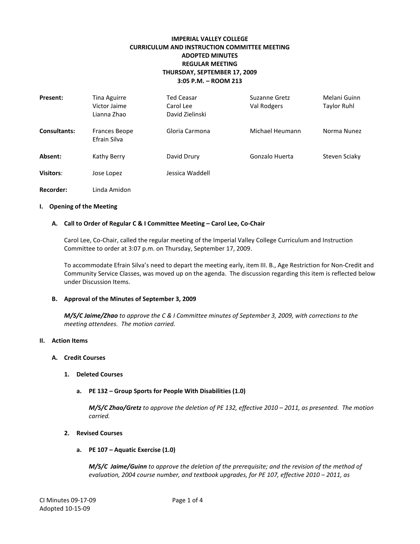# **IMPERIAL VALLEY COLLEGE CURRICULUM AND INSTRUCTION COMMITTEE MEETING ADOPTED MINUTES REGULAR MEETING THURSDAY, SEPTEMBER 17, 2009 3:05 P.M. – ROOM 213**

| Present:            | Tina Aguirre<br>Victor Jaime<br>Lianna Zhao | <b>Ted Ceasar</b><br>Carol Lee<br>David Zielinski | Suzanne Gretz<br>Val Rodgers | Melani Guinn<br>Taylor Ruhl |
|---------------------|---------------------------------------------|---------------------------------------------------|------------------------------|-----------------------------|
| <b>Consultants:</b> | <b>Frances Beope</b><br>Efrain Silva        | Gloria Carmona                                    | Michael Heumann              | Norma Nunez                 |
| Absent:             | Kathy Berry                                 | David Drury                                       | Gonzalo Huerta               | Steven Sciaky               |
| Visitors:           | Jose Lopez                                  | Jessica Waddell                                   |                              |                             |
| <b>Recorder:</b>    | Linda Amidon                                |                                                   |                              |                             |

## **I. Opening of the Meeting**

## **A. Call to Order of Regular C & I Committee Meeting – Carol Lee, Co-Chair**

Carol Lee, Co-Chair, called the regular meeting of the Imperial Valley College Curriculum and Instruction Committee to order at 3:07 p.m. on Thursday, September 17, 2009.

To accommodate Efrain Silva's need to depart the meeting early, item III. B., Age Restriction for Non-Credit and Community Service Classes, was moved up on the agenda. The discussion regarding this item is reflected below under Discussion Items.

## **B. Approval of the Minutes of September 3, 2009**

*M/S/C Jaime/Zhao to approve the C & I Committee minutes of September 3, 2009, with corrections to the meeting attendees. The motion carried.*

## **II. Action Items**

## **A. Credit Courses**

- **1. Deleted Courses**
	- **a. PE 132 – Group Sports for People With Disabilities (1.0)**

*M/S/C Zhao/Gretz to approve the deletion of PE 132, effective 2010 – 2011, as presented. The motion carried.*

## **2. Revised Courses**

**a. PE 107 – Aquatic Exercise (1.0)**

*M/S/C Jaime/Guinn to approve the deletion of the prerequisite; and the revision of the method of evaluation, 2004 course number, and textbook upgrades, for PE 107, effective 2010 – 2011, as*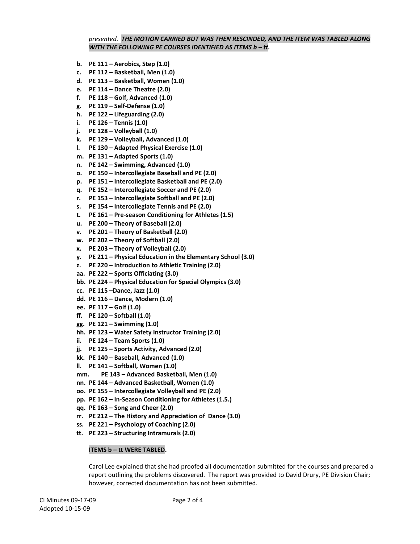## *presented. THE MOTION CARRIED BUT WAS THEN RESCINDED, AND THE ITEM WAS TABLED ALONG WITH THE FOLLOWING PE COURSES IDENTIFIED AS ITEMS b – tt.*

- **b. PE 111 – Aerobics, Step (1.0)**
- **c. PE 112 – Basketball, Men (1.0)**
- **d. PE 113 – Basketball, Women (1.0)**
- **e. PE 114 – Dance Theatre (2.0)**
- **f. PE 118 – Golf, Advanced (1.0)**
- **g. PE 119 – Self-Defense (1.0)**
- **h. PE 122 – Lifeguarding (2.0)**
- **i. PE 126 – Tennis (1.0)**
- **j. PE 128 – Volleyball (1.0)**
- **k. PE 129 – Volleyball, Advanced (1.0)**
- **l. PE 130 – Adapted Physical Exercise (1.0)**
- **m. PE 131 – Adapted Sports (1.0)**
- **n. PE 142 – Swimming, Advanced (1.0)**
- **o. PE 150 – Intercollegiate Baseball and PE (2.0)**
- **p. PE 151 – Intercollegiate Basketball and PE (2.0)**
- **q. PE 152 – Intercollegiate Soccer and PE (2.0)**
- **r. PE 153 – Intercollegiate Softball and PE (2.0)**
- **s. PE 154 – Intercollegiate Tennis and PE (2.0)**
- **t. PE 161 – Pre-season Conditioning for Athletes (1.5)**
- **u. PE 200 – Theory of Baseball (2.0)**
- **v. PE 201 – Theory of Basketball (2.0)**
- **w. PE 202 – Theory of Softball (2.0)**
- **x. PE 203 – Theory of Volleyball (2.0)**
- **y. PE 211 – Physical Education in the Elementary School (3.0)**
- **z. PE 220 – Introduction to Athletic Training (2.0)**
- **aa. PE 222 – Sports Officiating (3.0)**
- **bb. PE 224 – Physical Education for Special Olympics (3.0)**
- **cc. PE 115 –Dance, Jazz (1.0)**
- **dd. PE 116 – Dance, Modern (1.0)**
- **ee. PE 117 – Golf (1.0)**
- **ff. PE 120 – Softball (1.0)**
- **gg. PE 121 – Swimming (1.0)**
- **hh. PE 123 – Water Safety Instructor Training (2.0)**
- **ii. PE 124 – Team Sports (1.0)**
- **jj. PE 125 – Sports Activity, Advanced (2.0)**
- **kk. PE 140 – Baseball, Advanced (1.0)**
- **ll. PE 141 – Softball, Women (1.0)**
- **mm. PE 143 – Advanced Basketball, Men (1.0)**
- **nn. PE 144 – Advanced Basketball, Women (1.0)**
- **oo. PE 155 – Intercollegiate Volleyball and PE (2.0)**
- **pp. PE 162 – In-Season Conditioning for Athletes (1.5.)**
- **qq. PE 163 – Song and Cheer (2.0)**
- **rr. PE 212 – The History and Appreciation of Dance (3.0)**
- **ss. PE 221 – Psychology of Coaching (2.0)**
- **tt. PE 223 – Structuring Intramurals (2.0)**

## **ITEMS b – tt WERE TABLED.**

Carol Lee explained that she had proofed all documentation submitted for the courses and prepared a report outlining the problems discovered. The report was provided to David Drury, PE Division Chair; however, corrected documentation has not been submitted.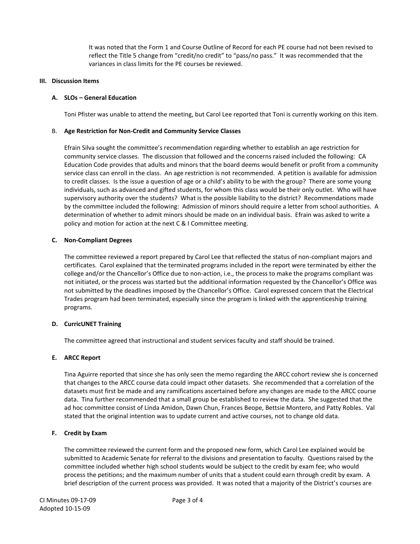It was noted that the Form 1 and Course Outline of Record for each PE course had not been revised to reflect the Title 5 change from "credit/no credit" to "pass/no pass." It was recommended that the variances in class limits for the PE courses be reviewed.

# **III. Discussion Items**

## **A. SLOs – General Education**

Toni Pfister was unable to attend the meeting, but Carol Lee reported that Toni is currently working on this item.

## B. **Age Restriction for Non-Credit and Community Service Classes**

Efrain Silva sought the committee's recommendation regarding whether to establish an age restriction for community service classes. The discussion that followed and the concerns raised included the following: CA Education Code provides that adults and minors that the board deems would benefit or profit from a community service class can enroll in the class. An age restriction is not recommended. A petition is available for admission to credit classes. Is the issue a question of age or a child's ability to be with the group? There are some young individuals, such as advanced and gifted students, for whom this class would be their only outlet. Who will have supervisory authority over the students? What is the possible liability to the district? Recommendations made by the committee included the following: Admission of minors should require a letter from school authorities. A determination of whether to admit minors should be made on an individual basis. Efrain was asked to write a policy and motion for action at the next C & I Committee meeting.

## **C. Non-Compliant Degrees**

The committee reviewed a report prepared by Carol Lee that reflected the status of non-compliant majors and certificates. Carol explained that the terminated programs included in the report were terminated by either the college and/or the Chancellor's Office due to non-action, i.e., the process to make the programs compliant was not initiated, or the process was started but the additional information requested by the Chancellor's Office was not submitted by the deadlines imposed by the Chancellor's Office. Carol expressed concern that the Electrical Trades program had been terminated, especially since the program is linked with the apprenticeship training programs.

## **D. CurricUNET Training**

The committee agreed that instructional and student services faculty and staff should be trained.

# **E. ARCC Report**

Tina Aguirre reported that since she has only seen the memo regarding the ARCC cohort review she is concerned that changes to the ARCC course data could impact other datasets. She recommended that a correlation of the datasets must first be made and any ramifications ascertained before any changes are made to the ARCC course data. Tina further recommended that a small group be established to review the data. She suggested that the ad hoc committee consist of Linda Amidon, Dawn Chun, Frances Beope, Bettsie Montero, and Patty Robles. Val stated that the original intention was to update current and active courses, not to change old data.

## **F. Credit by Exam**

The committee reviewed the current form and the proposed new form, which Carol Lee explained would be submitted to Academic Senate for referral to the divisions and presentation to faculty. Questions raised by the committee included whether high school students would be subject to the credit by exam fee; who would process the petitions; and the maximum number of units that a student could earn through credit by exam. A brief description of the current process was provided. It was noted that a majority of the District's courses are